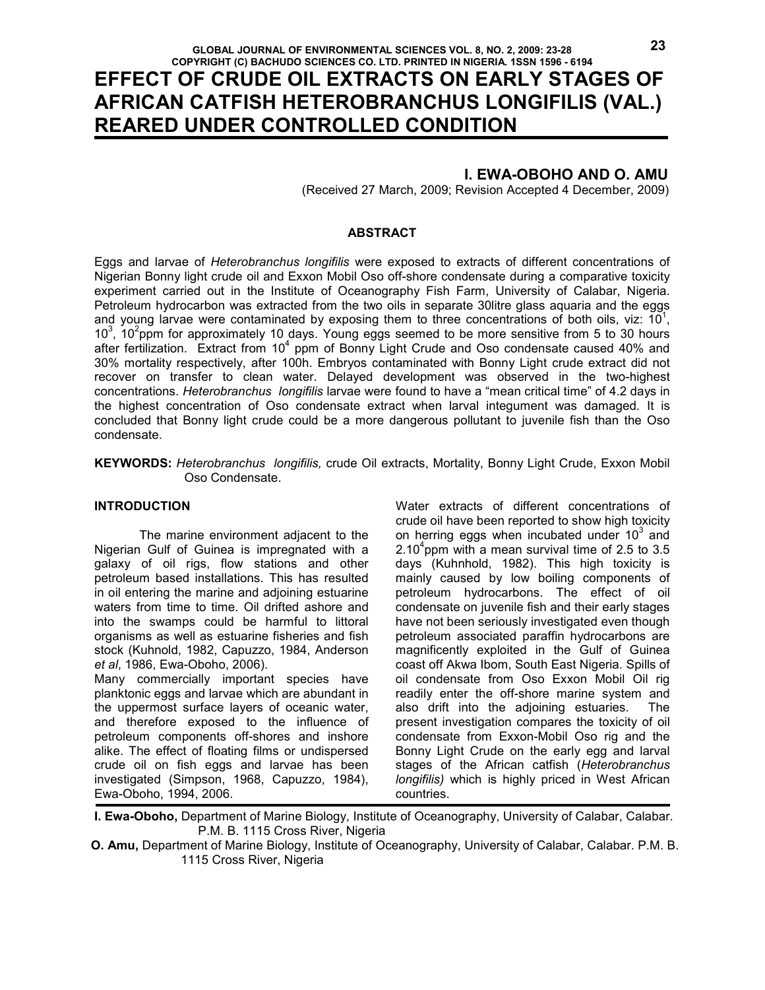# **EFFECT OF CRUDE OIL EXTRACTS ON EARLY STAGES OF AFRICAN CATFISH HETEROBRANCHUS LONGIFILIS (VAL.) REARED UNDER CONTROLLED CONDITION**

## **I. EWA-OBOHO AND O. AMU**

(Received 27 March, 2009; Revision Accepted 4 December, 2009)

## **ABSTRACT**

Eggs and larvae of *Heterobranchus longifilis* were exposed to extracts of different concentrations of Nigerian Bonny light crude oil and Exxon Mobil Oso off-shore condensate during a comparative toxicity experiment carried out in the Institute of Oceanography Fish Farm, University of Calabar, Nigeria. Petroleum hydrocarbon was extracted from the two oils in separate 30litre glass aquaria and the eggs and young larvae were contaminated by exposing them to three concentrations of both oils, viz:  $10<sup>1</sup>$ , 10<sup>3</sup>, 10<sup>2</sup>ppm for approximately 10 days. Young eggs seemed to be more sensitive from 5 to 30 hours after fertilization. Extract from 10<sup>4</sup> ppm of Bonny Light Crude and Oso condensate caused 40% and 30% mortality respectively, after 100h. Embryos contaminated with Bonny Light crude extract did not recover on transfer to clean water. Delayed development was observed in the two-highest concentrations. *Heterobranchus longifilis* larvae were found to have a "mean critical time" of 4.2 days in the highest concentration of Oso condensate extract when larval integument was damaged. It is concluded that Bonny light crude could be a more dangerous pollutant to juvenile fish than the Oso condensate.

**KEYWORDS:** *Heterobranchus longifilis,* crude Oil extracts, Mortality, Bonny Light Crude, Exxon Mobil Oso Condensate.

#### **INTRODUCTION**

 The marine environment adjacent to the Nigerian Gulf of Guinea is impregnated with a galaxy of oil rigs, flow stations and other petroleum based installations. This has resulted in oil entering the marine and adjoining estuarine waters from time to time. Oil drifted ashore and into the swamps could be harmful to littoral organisms as well as estuarine fisheries and fish stock (Kuhnold, 1982, Capuzzo, 1984, Anderson *et al*, 1986, Ewa-Oboho, 2006).

Many commercially important species have planktonic eggs and larvae which are abundant in the uppermost surface layers of oceanic water, and therefore exposed to the influence of petroleum components off-shores and inshore alike. The effect of floating films or undispersed crude oil on fish eggs and larvae has been investigated (Simpson, 1968, Capuzzo, 1984), Ewa-Oboho, 1994, 2006.

Water extracts of different concentrations of crude oil have been reported to show high toxicity on herring eggs when incubated under  $10^3$  and 2.10 $^{4}$ ppm with a mean survival time of 2.5 to 3.5 days (Kuhnhold, 1982). This high toxicity is mainly caused by low boiling components of petroleum hydrocarbons. The effect of oil condensate on juvenile fish and their early stages have not been seriously investigated even though petroleum associated paraffin hydrocarbons are magnificently exploited in the Gulf of Guinea coast off Akwa Ibom, South East Nigeria. Spills of oil condensate from Oso Exxon Mobil Oil rig readily enter the off-shore marine system and also drift into the adjoining estuaries. The present investigation compares the toxicity of oil condensate from Exxon-Mobil Oso rig and the Bonny Light Crude on the early egg and larval stages of the African catfish (*Heterobranchus longifilis)* which is highly priced in West African countries.

**I. Ewa-Oboho,** Department of Marine Biology, Institute of Oceanography, University of Calabar, Calabar. P.M. B. 1115 Cross River, Nigeria

**O. Amu,** Department of Marine Biology, Institute of Oceanography, University of Calabar, Calabar. P.M. B. 1115 Cross River, Nigeria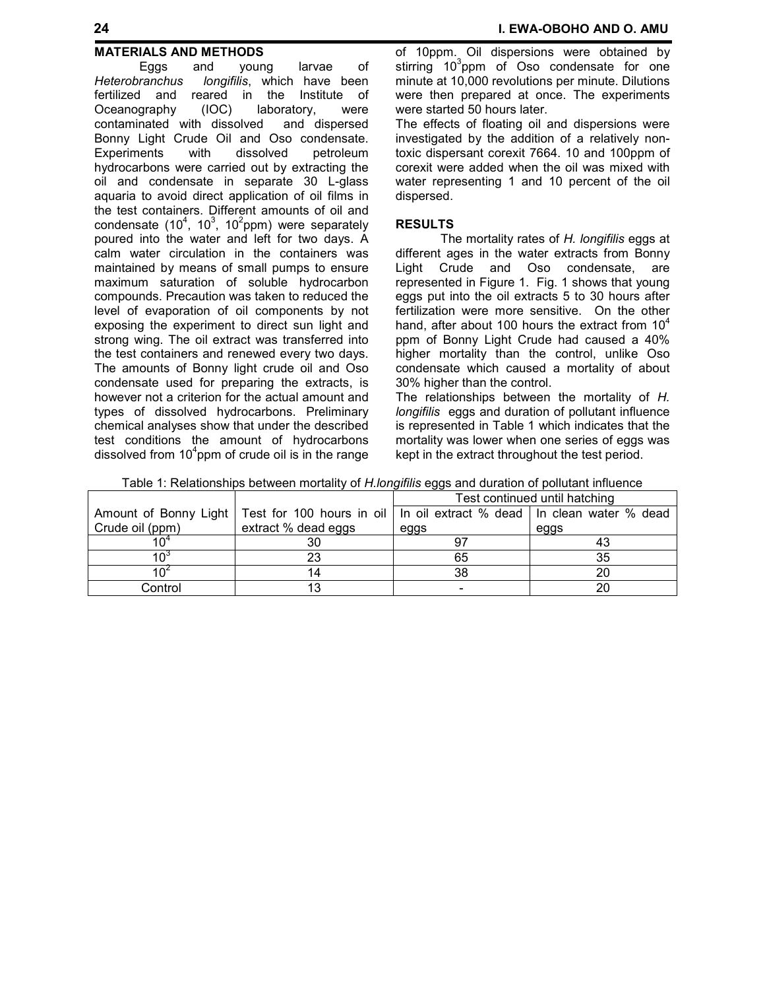## **MATERIALS AND METHODS**

 Eggs and young larvae of *Heterobranchus longifilis*, which have been fertilized and reared in the Institute of Oceanography (IOC) laboratory, were contaminated with dissolved and dispersed Bonny Light Crude Oil and Oso condensate. Experiments with dissolved petroleum hydrocarbons were carried out by extracting the oil and condensate in separate 30 L-glass aquaria to avoid direct application of oil films in the test containers. Different amounts of oil and condensate (10<sup>4</sup>, 10<sup>3</sup>, 10<sup>2</sup>ppm) were separately poured into the water and left for two days. A calm water circulation in the containers was maintained by means of small pumps to ensure maximum saturation of soluble hydrocarbon compounds. Precaution was taken to reduced the level of evaporation of oil components by not exposing the experiment to direct sun light and strong wing. The oil extract was transferred into the test containers and renewed every two days. The amounts of Bonny light crude oil and Oso condensate used for preparing the extracts, is however not a criterion for the actual amount and types of dissolved hydrocarbons. Preliminary chemical analyses show that under the described test conditions the amount of hydrocarbons dissolved from  $10<sup>4</sup>$ ppm of crude oil is in the range

of 10ppm. Oil dispersions were obtained by stirring 10<sup>3</sup>ppm of Oso condensate for one minute at 10,000 revolutions per minute. Dilutions were then prepared at once. The experiments were started 50 hours later.

The effects of floating oil and dispersions were investigated by the addition of a relatively nontoxic dispersant corexit 7664. 10 and 100ppm of corexit were added when the oil was mixed with water representing 1 and 10 percent of the oil dispersed.

## **RESULTS**

 The mortality rates of *H. longifilis* eggs at different ages in the water extracts from Bonny<br>Light Crude and Oso condensate, are Oso condensate, are represented in Figure 1. Fig. 1 shows that young eggs put into the oil extracts 5 to 30 hours after fertilization were more sensitive. On the other hand, after about 100 hours the extract from  $10<sup>4</sup>$ ppm of Bonny Light Crude had caused a 40% higher mortality than the control, unlike Oso condensate which caused a mortality of about 30% higher than the control.

The relationships between the mortality of *H. longifilis* eggs and duration of pollutant influence is represented in Table 1 which indicates that the mortality was lower when one series of eggs was kept in the extract throughout the test period.

Table 1: Relationships between mortality of *H.longifilis* eggs and duration of pollutant influence

|                 |                                                                                                   | Test continued until hatching |      |
|-----------------|---------------------------------------------------------------------------------------------------|-------------------------------|------|
|                 | Amount of Bonny Light   Test for 100 hours in oil   In oil extract % dead   In clean water % dead |                               |      |
| Crude oil (ppm) | extract % dead eggs                                                                               | eggs                          | eggs |
|                 | 30                                                                                                |                               |      |
|                 |                                                                                                   | 65                            | 35   |
|                 |                                                                                                   | 38                            | 20   |
| Control         |                                                                                                   |                               |      |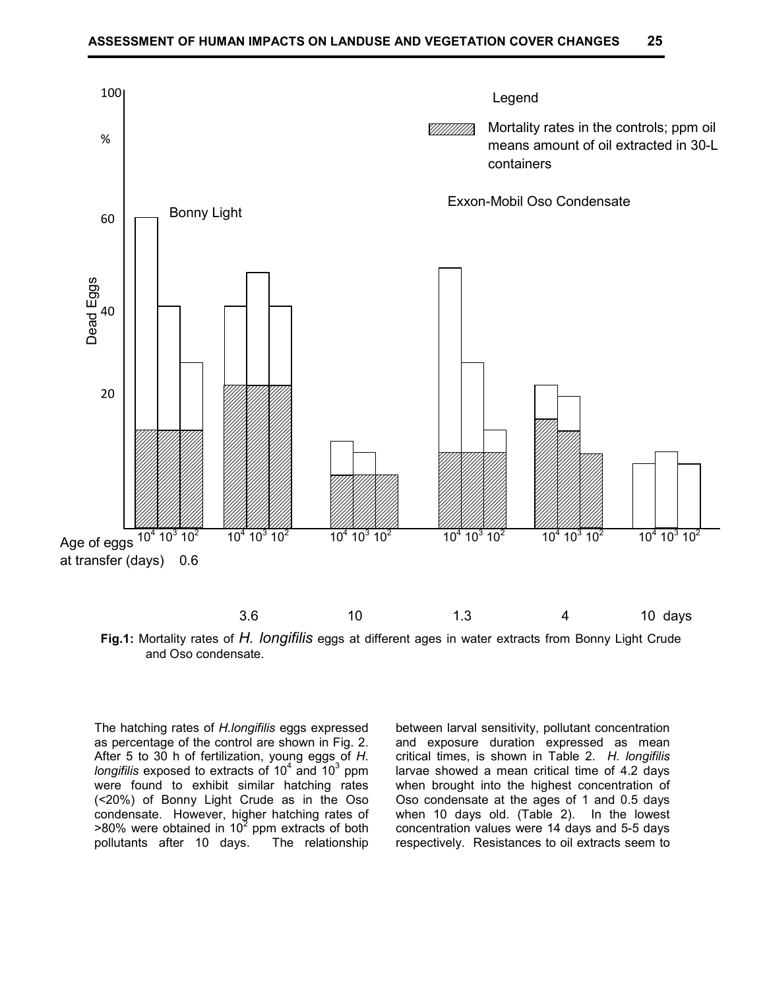

**Fig.1:** Mortality rates of *H. longifilis* eggs at different ages in water extracts from Bonny Light Crude and Oso condensate.

The hatching rates of *H.longifilis* eggs expressed as percentage of the control are shown in Fig. 2. After 5 to 30 h of fertilization, young eggs of *H.*  longifilis exposed to extracts of 10<sup>4</sup> and 10<sup>3</sup> ppm were found to exhibit similar hatching rates (<20%) of Bonny Light Crude as in the Oso condensate. However, higher hatching rates of  $>80\%$  were obtained in 10<sup>2</sup> ppm extracts of both pollutants after 10 days. The relationship between larval sensitivity, pollutant concentration and exposure duration expressed as mean critical times, is shown in Table 2. *H. longifilis*  larvae showed a mean critical time of 4.2 days when brought into the highest concentration of Oso condensate at the ages of 1 and 0.5 days when 10 days old. (Table 2). In the lowest concentration values were 14 days and 5-5 days respectively. Resistances to oil extracts seem to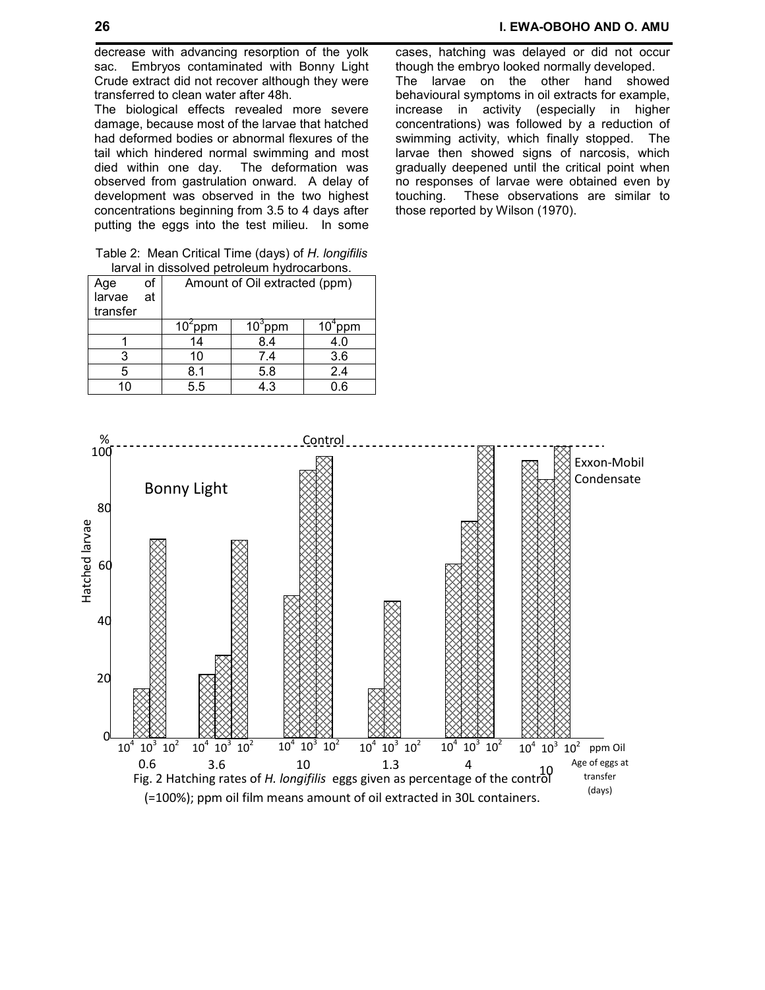decrease with advancing resorption of the yolk sac. Embryos contaminated with Bonny Light Crude extract did not recover although they were transferred to clean water after 48h.

The biological effects revealed more severe damage, because most of the larvae that hatched had deformed bodies or abnormal flexures of the tail which hindered normal swimming and most died within one day. The deformation was observed from gastrulation onward. A delay of development was observed in the two highest concentrations beginning from 3.5 to 4 days after putting the eggs into the test milieu. In some

Table 2: Mean Critical Time (days) of *H. longifilis*  larval in dissolved petroleum hydrocarbons.

| of<br>Age<br>larvae<br>at<br>transfer | Amount of Oil extracted (ppm) |            |     |  |
|---------------------------------------|-------------------------------|------------|-----|--|
|                                       | $102$ ppm                     | $10^3$ ppm | ppm |  |
|                                       | 14                            | 8.4        | 4.0 |  |
|                                       | 10                            | 7.4        | 3.6 |  |
| 5                                     | 8.1                           | 5.8        | 2.4 |  |
|                                       | 5.5                           | 4.3        | ე 6 |  |

cases, hatching was delayed or did not occur though the embryo looked normally developed. The larvae on the other hand showed behavioural symptoms in oil extracts for example, increase in activity (especially in higher concentrations) was followed by a reduction of swimming activity, which finally stopped. The larvae then showed signs of narcosis, which gradually deepened until the critical point when no responses of larvae were obtained even by touching. These observations are similar to those reported by Wilson (1970).

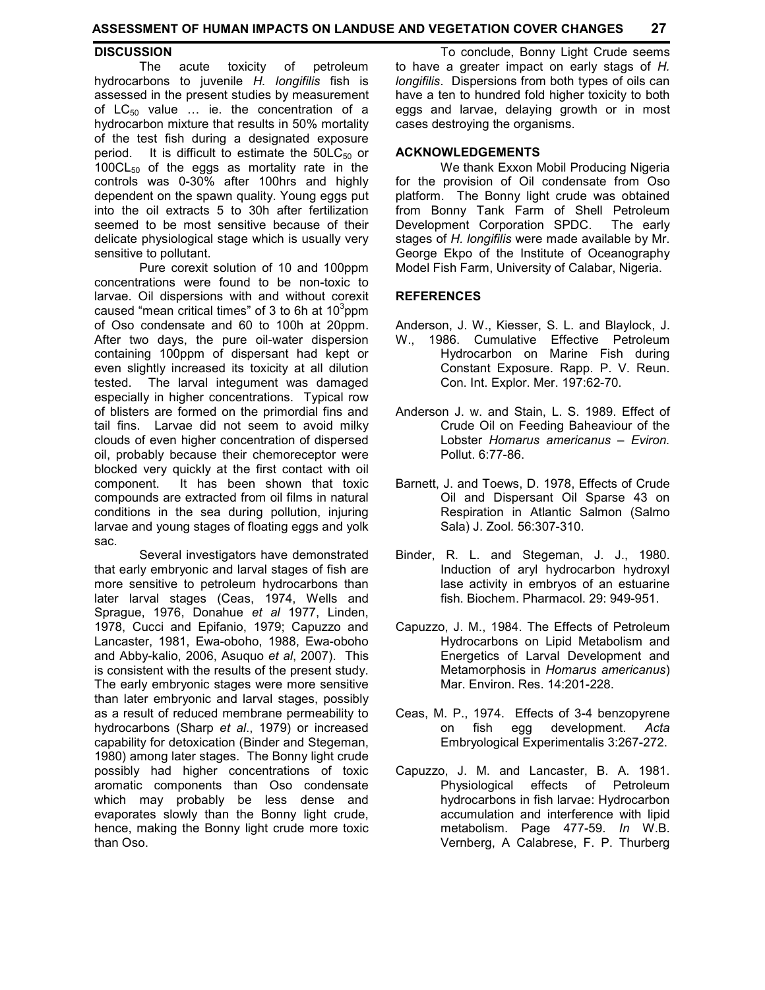#### **ASSESSMENT OF HUMAN IMPACTS ON LANDUSE AND VEGETATION COVER CHANGES 27**

#### **DISCUSSION**

 The acute toxicity of petroleum hydrocarbons to juvenile *H. longifilis* fish is assessed in the present studies by measurement of  $LC_{50}$  value  $\ldots$  ie. the concentration of a hydrocarbon mixture that results in 50% mortality of the test fish during a designated exposure period. It is difficult to estimate the  $50LC_{50}$  or 100CL<sub>50</sub> of the eggs as mortality rate in the controls was 0-30% after 100hrs and highly dependent on the spawn quality. Young eggs put into the oil extracts 5 to 30h after fertilization seemed to be most sensitive because of their delicate physiological stage which is usually very sensitive to pollutant.

 Pure corexit solution of 10 and 100ppm concentrations were found to be non-toxic to larvae. Oil dispersions with and without corexit caused "mean critical times" of 3 to 6h at 10 $^3$ ppm of Oso condensate and 60 to 100h at 20ppm. After two days, the pure oil-water dispersion containing 100ppm of dispersant had kept or even slightly increased its toxicity at all dilution tested. The larval integument was damaged especially in higher concentrations. Typical row of blisters are formed on the primordial fins and tail fins. Larvae did not seem to avoid milky clouds of even higher concentration of dispersed oil, probably because their chemoreceptor were blocked very quickly at the first contact with oil component. It has been shown that toxic compounds are extracted from oil films in natural conditions in the sea during pollution, injuring larvae and young stages of floating eggs and yolk sac.

 Several investigators have demonstrated that early embryonic and larval stages of fish are more sensitive to petroleum hydrocarbons than later larval stages (Ceas, 1974, Wells and Sprague, 1976, Donahue *et al* 1977, Linden, 1978, Cucci and Epifanio, 1979; Capuzzo and Lancaster, 1981, Ewa-oboho, 1988, Ewa-oboho and Abby-kalio, 2006, Asuquo *et al*, 2007). This is consistent with the results of the present study. The early embryonic stages were more sensitive than later embryonic and larval stages, possibly as a result of reduced membrane permeability to hydrocarbons (Sharp *et al*., 1979) or increased capability for detoxication (Binder and Stegeman, 1980) among later stages. The Bonny light crude possibly had higher concentrations of toxic aromatic components than Oso condensate which may probably be less dense and evaporates slowly than the Bonny light crude, hence, making the Bonny light crude more toxic than Oso.

 To conclude, Bonny Light Crude seems to have a greater impact on early stags of *H. longifilis*. Dispersions from both types of oils can have a ten to hundred fold higher toxicity to both eggs and larvae, delaying growth or in most cases destroying the organisms.

#### **ACKNOWLEDGEMENTS**

 We thank Exxon Mobil Producing Nigeria for the provision of Oil condensate from Oso platform. The Bonny light crude was obtained from Bonny Tank Farm of Shell Petroleum Development Corporation SPDC. The early stages of *H. longifilis* were made available by Mr. George Ekpo of the Institute of Oceanography Model Fish Farm, University of Calabar, Nigeria.

## **REFERENCES**

- Anderson, J. W., Kiesser, S. L. and Blaylock, J. W., 1986. Cumulative Effective Petroleum Hydrocarbon on Marine Fish during Constant Exposure. Rapp. P. V. Reun. Con. Int. Explor. Mer. 197:62-70.
- Anderson J. w. and Stain, L. S. 1989. Effect of Crude Oil on Feeding Baheaviour of the Lobster *Homarus americanus* – *Eviron.*  Pollut. 6:77-86.
- Barnett, J. and Toews, D. 1978, Effects of Crude Oil and Dispersant Oil Sparse 43 on Respiration in Atlantic Salmon (Salmo Sala) J. Zool*.* 56:307-310.
- Binder, R. L. and Stegeman, J. J., 1980. Induction of aryl hydrocarbon hydroxyl lase activity in embryos of an estuarine fish. Biochem. Pharmacol. 29: 949-951.
- Capuzzo, J. M., 1984. The Effects of Petroleum Hydrocarbons on Lipid Metabolism and Energetics of Larval Development and Metamorphosis in *Homarus americanus*) Mar. Environ. Res. 14:201-228.
- Ceas, M. P., 1974. Effects of 3-4 benzopyrene on fish egg development. *Acta*  Embryological Experimentalis 3:267-272.
- Capuzzo, J. M. and Lancaster, B. A. 1981. Physiological effects of Petroleum hydrocarbons in fish larvae: Hydrocarbon accumulation and interference with lipid metabolism. Page 477-59. *In* W.B. Vernberg, A Calabrese, F. P. Thurberg